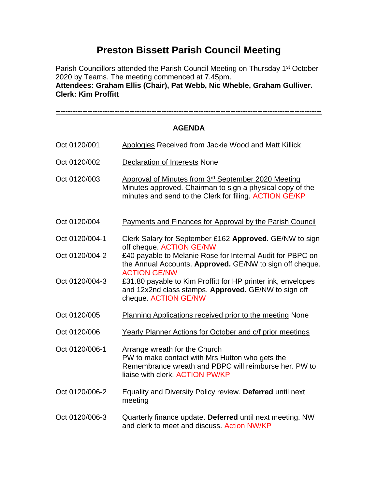## **Preston Bissett Parish Council Meeting**

Parish Councillors attended the Parish Council Meeting on Thursday 1<sup>st</sup> October 2020 by Teams. The meeting commenced at 7.45pm. **Attendees: Graham Ellis (Chair), Pat Webb, Nic Wheble, Graham Gulliver. Clerk: Kim Proffitt**

**------------------------------------------------------------------------------------------------------------ AGENDA** Oct 0120/001 Apologies Received from Jackie Wood and Matt Killick Oct 0120/002 Declaration of Interests None Oct 0120/003 Approval of Minutes from 3rd September 2020 Meeting Minutes approved. Chairman to sign a physical copy of the minutes and send to the Clerk for filing. ACTION GE/KP Oct 0120/004 Payments and Finances for Approval by the Parish Council Oct 0120/004-1 Clerk Salary for September £162 **Approved.** GE/NW to sign off cheque. ACTION GE/NW Oct 0120/004-2 £40 payable to Melanie Rose for Internal Audit for PBPC on the Annual Accounts. **Approved.** GE/NW to sign off cheque. ACTION GE/NW Oct 0120/004-3 £31.80 payable to Kim Proffitt for HP printer ink, envelopes and 12x2nd class stamps. **Approved.** GE/NW to sign off cheque. ACTION GE/NW Oct 0120/005 Planning Applications received prior to the meeting None Oct 0120/006 Yearly Planner Actions for October and c/f prior meetings Oct 0120/006-1 Arrange wreath for the Church PW to make contact with Mrs Hutton who gets the Remembrance wreath and PBPC will reimburse her. PW to liaise with clerk. ACTION PW/KP Oct 0120/006-2 Equality and Diversity Policy review. **Deferred** until next meeting Oct 0120/006-3 Quarterly finance update. **Deferred** until next meeting. NW and clerk to meet and discuss. Action NW/KP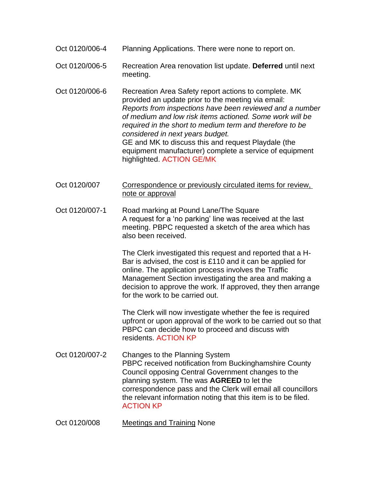- Oct 0120/006-4 Planning Applications. There were none to report on.
- Oct 0120/006-5 Recreation Area renovation list update. **Deferred** until next meeting.
- Oct 0120/006-6 Recreation Area Safety report actions to complete. MK provided an update prior to the meeting via email: *Reports from inspections have been reviewed and a number of medium and low risk items actioned. Some work will be required in the short to medium term and therefore to be considered in next years budget.*  GE and MK to discuss this and request Playdale (the equipment manufacturer) complete a service of equipment highlighted. ACTION GE/MK
- Oct 0120/007 Correspondence or previously circulated items for review, note or approval
- Oct 0120/007-1 Road marking at Pound Lane/The Square A request for a 'no parking' line was received at the last meeting. PBPC requested a sketch of the area which has also been received.

The Clerk investigated this request and reported that a H-Bar is advised, the cost is £110 and it can be applied for online. The application process involves the Traffic Management Section investigating the area and making a decision to approve the work. If approved, they then arrange for the work to be carried out.

The Clerk will now investigate whether the fee is required upfront or upon approval of the work to be carried out so that PBPC can decide how to proceed and discuss with residents. ACTION KP

- Oct 0120/007-2 Changes to the Planning System PBPC received notification from Buckinghamshire County Council opposing Central Government changes to the planning system. The was **AGREED** to let the correspondence pass and the Clerk will email all councillors the relevant information noting that this item is to be filed. ACTION KP
- Oct 0120/008 Meetings and Training None